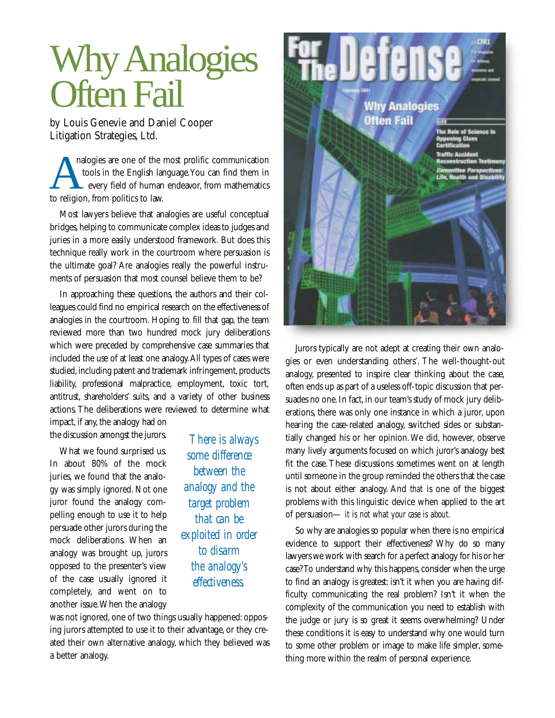## Why Analogies **Often Fail**

by Louis Genevie and Daniel Cooper Litigation Strategies, Ltd.

analogies are one of the most prolific communication<br>tools in the English language. You can find them in<br>every field of human endeavor, from mathematics<br>to religion from politics to law tools in the English language.You can find them in every field of human endeavor, from mathematics to religion, from politics to law.

Most lawyers believe that analogies are useful conceptual bridges, helping to communicate complex ideas to judges and juries in a more easily understood framework. But does this technique really work in the courtroom where persuasion is the ultimate goal? Are analogies really the powerful instruments of persuasion that most counsel believe them to be?

In approaching these questions, the authors and their colleagues could find no empirical research on the effectiveness of analogies in the courtroom. Hoping to fill that gap, the team reviewed more than two hundred mock jury deliberations which were preceded by comprehensive case summaries that included the use of at least one analogy.All types of cases were studied, including patent and trademark infringement, products liability, professional malpractice, employment, toxic tort, antitrust, shareholders' suits, and a variety of other business actions. The deliberations were reviewed to determine what

impact, if any, the analogy had on the discussion amongst the jurors.

What we found surprised us. In about 80% of the mock juries, we found that the analogy was simply ignored. Not one juror found the analogy compelling enough to use it to help persuade other jurors during the mock deliberations. When an analogy was brought up, jurors opposed to the presenter's view of the case usually ignored it completely, and went on to another issue.When the analogy

*There is always some difference between the analogy and the target problem that can be exploited in order to disarm the analogy's effectiveness.*

was not ignored, one of two things usually happened: opposing jurors attempted to use it to their advantage, or they created their own alternative analogy, which they believed was a better analogy.



Jurors typically are not adept at creating their own analogies or even understanding others'. The well-thought-out analogy, presented to inspire clear thinking about the case, often ends up as part of a useless off-topic discussion that persuades no one. In fact, in our team's study of mock jury deliberations, there was only one instance in which a juror, upon hearing the case-related analogy, switched sides or substantially changed his or her opinion.We did, however, observe many lively arguments focused on which juror's analogy best fit the case. These discussions sometimes went on at length until someone in the group reminded the others that the case is not about either analogy. And *that* is one of the biggest problems with this linguistic device when applied to the art of persuasion— *it is not what your case is about.*

So why are analogies so popular when there is no empirical evidence to support their effectiveness? Why do so many lawyers we work with search for a perfect analogy for his or her case? To understand why this happens, consider when the urge to find an analogy is greatest: isn't it when you are having difficulty communicating the real problem? Isn't it when the complexity of the communication you need to establish with the judge or jury is so great it seems overwhelming? Under these conditions it is easy to understand why one would turn to some other problem or image to make life simpler, something more within the realm of personal experience.